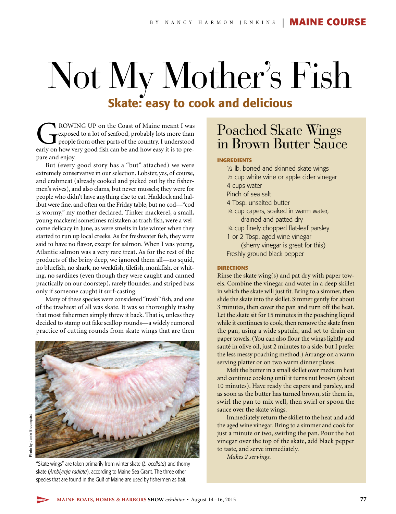## Not My Mother's Fish **Skate: easy to cook and delicious**

ROWING UP on the Coast of Maine meant I was<br>exposed to a lot of seafood, probably lots more than<br>people from other parts of the country. I understood<br>early on how very good fish can be and how easy it is to preexposed to a lot of seafood, probably lots more than people from other parts of the country. I understood early on how very good fish can be and how easy it is to prepare and enjoy.

But (every good story has a "but" attached) we were extremely conservative in our selection. Lobster, yes, of course, and crabmeat (already cooked and picked out by the fishermen's wives), and also clams, but never mussels; they were for people who didn't have anything else to eat. Haddock and halibut were fine, and often on the Friday table, but no cod—"cod is wormy," my mother declared. Tinker mackerel, a small, young mackerel sometimes mistaken as trash fish, were a welcome delicacy in June, as were smelts in late winter when they started to run up local creeks. As for freshwater fish, they were said to have no flavor, except for salmon. When I was young, Atlantic salmon was a very rare treat. As for the rest of the products of the briny deep, we ignored them all—no squid, no bluefish, no shark, no weakfish, tilefish, monkfish, or whiting, no sardines (even though they were caught and canned practically on our doorstep), rarely flounder, and striped bass only if someone caught it surf-casting.

Many of these species were considered "trash" fish, and one of the trashiest of all was skate. It was so thoroughly trashy that most fishermen simply threw it back. That is, unless they decided to stamp out fake scallop rounds—a widely rumored practice of cutting rounds from skate wings that are then



"Skate wings" are taken primarily from winter skate (*L. ocellata*) and thorny skate (*Amblyraja radiata*), according to Maine Sea Grant. The three other species that are found in the Gulf of Maine are used by fishermen as bait.

## Poached Skate Wings in Brown Butter Sauce

## **INGREDIENTS**

½ lb. boned and skinned skate wings ½ cup white wine or apple cider vinegar 4 cups water Pinch of sea salt 4 Tbsp. unsalted butter 1/4 cup capers, soaked in warm water, drained and patted dry 1/4 cup finely chopped flat-leaf parsley 1 or 2 Tbsp. aged wine vinegar (sherry vinegar is great for this) Freshly ground black pepper

## **DIRECTIONS**

Rinse the skate wing(s) and pat dry with paper towels. Combine the vinegar and water in a deep skillet in which the skate will just fit. Bring to a simmer, then slide the skate into the skillet. Simmer gently for about 3 minutes, then cover the pan and turn off the heat. Let the skate sit for 15 minutes in the poaching liquid while it continues to cook, then remove the skate from the pan, using a wide spatula, and set to drain on paper towels. (You can also flour the wings lightly and sauté in olive oil, just 2 minutes to a side, but I prefer the less messy poaching method.) Arrange on a warm serving platter or on two warm dinner plates.

Melt the butter in a small skillet over medium heat and continue cooking until it turns nut brown (about 10 minutes). Have ready the capers and parsley, and as soon as the butter has turned brown, stir them in, swirl the pan to mix well, then swirl or spoon the sauce over the skate wings.

Immediately return the skillet to the heat and add the aged wine vinegar. Bring to a simmer and cook for just a minute or two, swirling the pan. Pour the hot vinegar over the top of the skate, add black pepper to taste, and serve immediately.

*Makes 2 servings.*